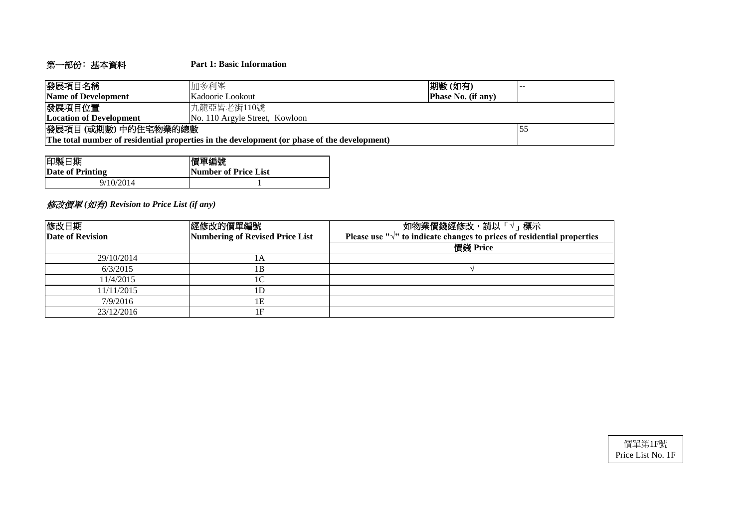# 第一部份﹕基本資料 **Part 1: Basic Information**

| 發展項目名稱                         | 加多利峯                                                                                        | 期數(如有)                    |  |  |  |  |  |  |  |
|--------------------------------|---------------------------------------------------------------------------------------------|---------------------------|--|--|--|--|--|--|--|
| Name of Development            | Kadoorie Lookout                                                                            | <b>Phase No. (if any)</b> |  |  |  |  |  |  |  |
| 發展項目位置                         | 「九龍亞皆老街110號                                                                                 |                           |  |  |  |  |  |  |  |
| <b>Location of Development</b> | No. 110 Argyle Street, Kowloon                                                              |                           |  |  |  |  |  |  |  |
| 發展項目(或期數)中的住宅物業的總數             |                                                                                             |                           |  |  |  |  |  |  |  |
|                                | The total number of residential properties in the development (or phase of the development) |                           |  |  |  |  |  |  |  |

| 印製日期             | 價單編號                 |
|------------------|----------------------|
| Date of Printing | Number of Price List |
| 9/10/2014        |                      |

# 修改價單 *(*如有*) Revision to Price List (if any)*

| 修改日期<br> 經修改的價單編號<br>Date of Revision<br>Numbering of Revised Price List |              | 如物業價錢經修改,請以「√」標示<br>Please use " $\sqrt{ }$ " to indicate changes to prices of residential properties |  |  |  |  |  |  |
|--------------------------------------------------------------------------|--------------|-------------------------------------------------------------------------------------------------------|--|--|--|--|--|--|
|                                                                          |              | 價錢 Price                                                                                              |  |  |  |  |  |  |
| 29/10/2014                                                               | 1А           |                                                                                                       |  |  |  |  |  |  |
| 6/3/2015                                                                 | 1Β           |                                                                                                       |  |  |  |  |  |  |
| 11/4/2015                                                                | $\mathsf{C}$ |                                                                                                       |  |  |  |  |  |  |
| 11/11/2015                                                               | 1D           |                                                                                                       |  |  |  |  |  |  |
| 7/9/2016                                                                 | lΕ           |                                                                                                       |  |  |  |  |  |  |
| 23/12/2016                                                               | 1F           |                                                                                                       |  |  |  |  |  |  |

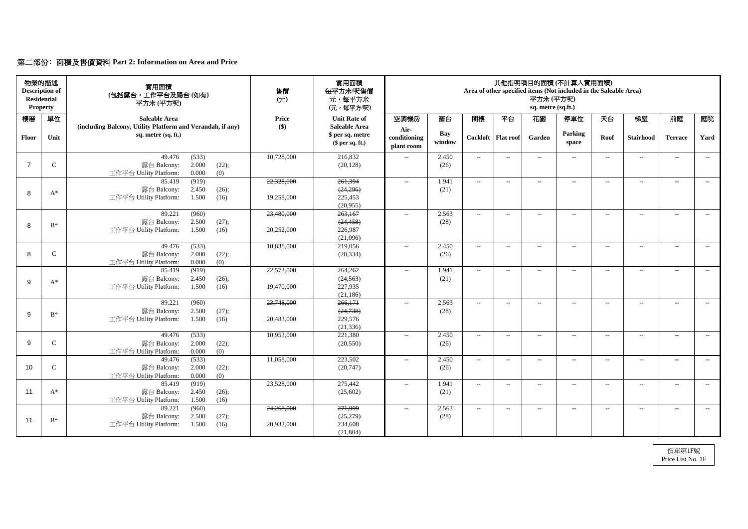# 第二部份﹕面積及售價資料 **Part 2: Information on Area and Price**

| 前庭<br>庭院<br>Yard<br><b>Terrace</b><br>$--$<br>$--$ |
|----------------------------------------------------|
|                                                    |
|                                                    |
|                                                    |
| $  \,$<br>$--$                                     |
|                                                    |
| $--$<br>$---$                                      |
|                                                    |
| $--$<br>$---$                                      |
|                                                    |
| $--$<br>$---$                                      |
|                                                    |
| $---$<br>$--$                                      |
|                                                    |
|                                                    |
| $--$<br>$--$                                       |
|                                                    |
|                                                    |
| $ -$<br>$--$                                       |
|                                                    |
| $\mathcal{L}_{\mathcal{F}}$<br>$--$                |
|                                                    |
| $--$<br>$--$                                       |
|                                                    |
|                                                    |
|                                                    |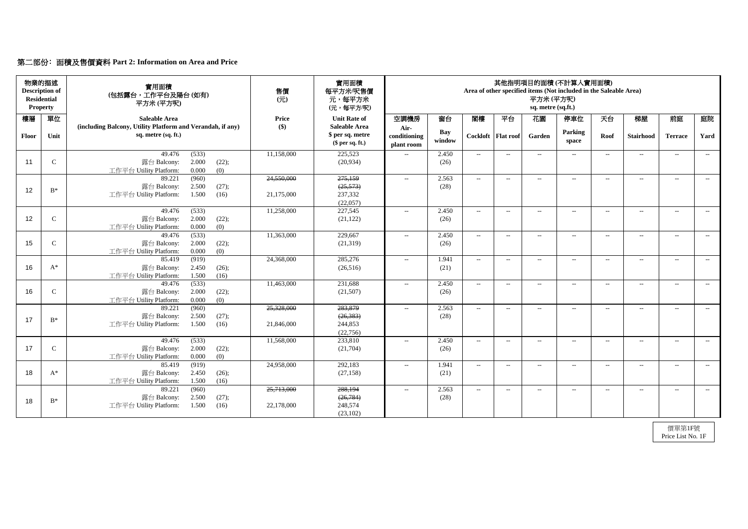# 第二部份﹕面積及售價資料 **Part 2: Information on Area and Price**

| <b>Residential</b> | 物業的描述<br><b>Description of</b><br><b>Property</b> | 實用面積<br>(包括露台,工作平台及陽台(如有)<br>平方米(平方呎)                                                       | 售價<br>$($ $\overrightarrow{\pi}$ $)$ | 實用面積<br>每平方米/呎售價<br>元,每平方米<br>(元,每平方/呎)                    | 其他指明項目的面積(不計算入實用面積)<br>Area of other specified items (Not included in the Saleable Area)<br>平方米(平方呎)<br>sq. metre (sq.ft.) |                      |                          |                      |                          |                               |       |                   |                |       |
|--------------------|---------------------------------------------------|---------------------------------------------------------------------------------------------|--------------------------------------|------------------------------------------------------------|----------------------------------------------------------------------------------------------------------------------------|----------------------|--------------------------|----------------------|--------------------------|-------------------------------|-------|-------------------|----------------|-------|
| 樓層                 | 單位                                                | <b>Saleable Area</b>                                                                        | <b>Price</b>                         | <b>Unit Rate of</b>                                        | 空調機房                                                                                                                       | 窗台                   | 閣樓                       | 平台                   | 花園                       | 停車位                           | 天台    | 梯屋                | 前庭             | 庭院    |
| Floor              | Unit                                              | (including Balcony, Utility Platform and Verandah, if any)<br>sq. metre (sq. ft.)           | $\left( \text{\$}\right)$            | <b>Saleable Area</b><br>\$ per sq. metre<br>\$per sq. ft.) | Air-<br>conditioning<br>plant room                                                                                         | <b>Bay</b><br>window |                          | Cockloft   Flat roof | Garden                   | <b>Parking</b><br>space       | Roof  | <b>Stairhood</b>  | <b>Terrace</b> | Yard  |
| 11                 | $\mathbf C$                                       | (533)<br>49.476<br>2.000<br>露台 Balcony:<br>(22);<br>0.000<br>(0)<br>工作平台 Utility Platform:  | 11,158,000                           | 225,523<br>(20, 934)                                       | $- -$                                                                                                                      | 2.450<br>(26)        | $--$                     | $---$                | $\overline{\phantom{a}}$ | $\overline{\phantom{a}}$      | $---$ | $--$              | $--$           | $---$ |
| 12                 | $B^*$                                             | (960)<br>89.221<br>2.500<br>(27);<br>露台 Balcony:<br>工作平台 Utility Platform:<br>1.500<br>(16) | 24,550,000<br>21,175,000             | 275,159<br>(25, 573)<br>237,332<br>(22,057)                | $\mathcal{L}_{\mathcal{L}}$                                                                                                | 2.563<br>(28)        | $--$                     | $--$                 | $--$                     | $\overline{\phantom{a}}$      | $---$ | $--$              | $--$           | $--$  |
| 12                 | $\mathbf C$                                       | 49.476<br>(533)<br>2.000<br>(22);<br>露台 Balcony:<br>工作平台 Utility Platform:<br>0.000<br>(0)  | 11,258,000                           | 227,545<br>(21, 122)                                       | $--$                                                                                                                       | 2.450<br>(26)        | $\overline{\phantom{a}}$ | $--$                 | $--$                     | $--$                          | $---$ | $--$              | $--$           | $--$  |
| 15                 | $\mathsf{C}$                                      | 49.476<br>(533)<br>2.000<br>露台 Balcony:<br>(22);<br>0.000<br>(0)<br>工作平台 Utility Platform:  | 11,363,000                           | 229,667<br>(21,319)                                        | $- -$                                                                                                                      | 2.450<br>(26)        | $--$                     | $--$                 | $\qquad \qquad -$        | $---$                         | $---$ | $\qquad \qquad -$ | $--$           | $---$ |
| 16                 | $A^*$                                             | (919)<br>85.419<br>露台 Balcony:<br>2.450<br>(26);<br>工作平台 Utility Platform:<br>1.500<br>(16) | 24,368,000                           | 285,276<br>(26,516)                                        | $--$                                                                                                                       | 1.941<br>(21)        | $\sim$                   | $--$                 | $\qquad \qquad -$        | $--$                          | $---$ | $\qquad \qquad -$ | $--$           | $--$  |
| 16                 | $\mathbf C$                                       | (533)<br>49.476<br>2.000<br>(22);<br>露台 Balcony:<br>0.000<br>(0)<br>工作平台 Utility Platform:  | 11,463,000                           | 231,688<br>(21,507)                                        | $- -$                                                                                                                      | 2.450<br>(26)        | $--$                     | $--$                 | $\overline{\phantom{a}}$ | $--$                          | $--$  | $ -$              | $--$           | $--$  |
| 17                 | $B^*$                                             | 89.221<br>(960)<br>露台 Balcony:<br>2.500<br>(27);<br>工作平台 Utility Platform:<br>1.500<br>(16) | 25,328,000<br>21,846,000             | 283,879<br>(26, 383)<br>244,853<br>(22, 756)               | $--$                                                                                                                       | 2.563<br>(28)        | $\sim$                   | $--$                 | $--$                     | $--$                          | $---$ | $--$              | $--$           | $--$  |
| 17                 | $\mathsf{C}$                                      | 49.476<br>(533)<br>2.000<br>露台 Balcony:<br>(22);<br>工作平台 Utility Platform:<br>0.000<br>(0)  | 11,568,000                           | 233,810<br>(21,704)                                        | $- -$                                                                                                                      | 2.450<br>(26)        | $--$                     | $--$                 | $\overline{\phantom{a}}$ | $---$                         | $--$  | $--$              | $--$           | $--$  |
| 18                 | $A^*$                                             | 85.419<br>(919)<br>2.450<br>露台 Balcony:<br>(26);<br>工作平台 Utility Platform:<br>1.500<br>(16) | 24,958,000                           | 292,183<br>(27, 158)                                       | $- -$                                                                                                                      | 1.941<br>(21)        | $--$                     | $--$                 | --                       | $\hspace{0.05cm} \textbf{--}$ | $---$ | $--$              | $--$           | $--$  |
| 18                 | $\mathrm{B}^*$                                    | (960)<br>89.221<br>露台 Balcony:<br>2.500<br>(27);<br>工作平台 Utility Platform:<br>1.500<br>(16) | 25,713,000<br>22,178,000             | 288,194<br>(26, 784)<br>248,574<br>(23,102)                | $- -$                                                                                                                      | 2.563<br>(28)        | $--$                     | $--$                 | $--$                     | $\hspace{0.05cm} \textbf{--}$ | $--$  | $--$              | $--$           | $--$  |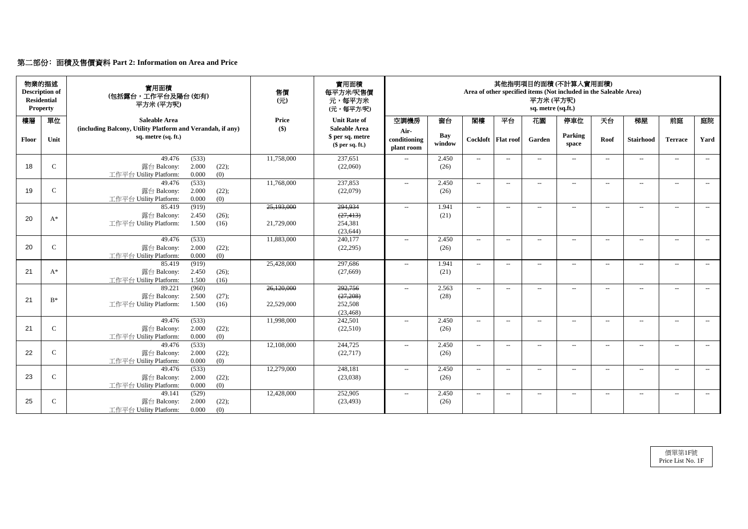# 第二部份﹕面積及售價資料 **Part 2: Information on Area and Price**

| <b>Residential</b> | 物業的描述<br><b>Description of</b><br><b>Property</b> | 實用面積<br>(包括露台,工作平台及陽台(如有)<br>平方米 (平方呎)                                            | 售價<br>$($ $\overrightarrow{\pi}$ $)$ | 實用面積<br>每平方米/呎售價<br>元,每平方米<br>(元,每平方/呎)                    | 其他指明項目的面積(不計算入實用面積)<br>Area of other specified items (Not included in the Saleable Area)<br>平方米(平方呎)<br>sq. metre (sq.ft.) |                      |        |                      |                          |                          |        |                   |                          |       |
|--------------------|---------------------------------------------------|-----------------------------------------------------------------------------------|--------------------------------------|------------------------------------------------------------|----------------------------------------------------------------------------------------------------------------------------|----------------------|--------|----------------------|--------------------------|--------------------------|--------|-------------------|--------------------------|-------|
| 樓層                 | 單位                                                | <b>Saleable Area</b>                                                              | <b>Price</b>                         | <b>Unit Rate of</b>                                        | 空調機房                                                                                                                       | 窗台                   | 閣樓     | 平台                   | 花園                       | 停車位                      | 天台     | 梯屋                | 前庭                       | 庭院    |
| <b>Floor</b>       | Unit                                              | (including Balcony, Utility Platform and Verandah, if any)<br>sq. metre (sq. ft.) | $\left( \text{\$}\right)$            | <b>Saleable Area</b><br>\$ per sq. metre<br>\$per sq. ft.) | Air-<br>conditioning<br>plant room                                                                                         | <b>Bay</b><br>window |        | Cockloft   Flat roof | Garden                   | Parking<br>space         | Roof   | <b>Stairhood</b>  | <b>Terrace</b>           | Yard  |
|                    |                                                   | 49.476<br>(533)                                                                   | 11,758,000                           | 237,651                                                    | $- -$                                                                                                                      | 2.450                | $--$   | $--$                 | $\qquad \qquad -$        | $--$                     | $---$  | $\qquad \qquad -$ | $--$                     | $--$  |
| 18                 | $\mathbf C$                                       | 2.000<br>露台 Balcony:<br>(22);<br>0.000<br>工作平台 Utility Platform:<br>(0)           |                                      | (22,060)                                                   |                                                                                                                            | (26)                 |        |                      |                          |                          |        |                   |                          |       |
|                    |                                                   | (533)<br>49.476                                                                   | 11,768,000                           | 237,853                                                    | $\mathcal{L}_{\mathcal{L}}$                                                                                                | 2.450                | $--$   | $--$                 | $--$                     | $ -$                     | $---$  | $---$             | $--$                     | $--$  |
| 19                 | $\mathbf C$                                       | 2.000<br>(22);<br>露台 Balcony:                                                     |                                      | (22,079)                                                   |                                                                                                                            | (26)                 |        |                      |                          |                          |        |                   |                          |       |
|                    |                                                   | 工作平台 Utility Platform:<br>0.000<br>(0)                                            |                                      |                                                            |                                                                                                                            |                      |        |                      |                          |                          |        |                   |                          |       |
|                    |                                                   | (919)<br>85.419                                                                   | 25,193,000                           | 294,934                                                    | $- -$                                                                                                                      | 1.941                | $--$   | $---$                | $--$                     | $\overline{\phantom{a}}$ | $--$   | $\qquad \qquad -$ | $--$                     | $--$  |
| 20                 | $A^*$                                             | 露台 Balcony:<br>2.450<br>(26);                                                     |                                      | (27, 413)                                                  |                                                                                                                            | (21)                 |        |                      |                          |                          |        |                   |                          |       |
|                    |                                                   | 1.500<br>工作平台 Utility Platform:<br>(16)                                           | 21,729,000                           | 254,381<br>(23, 644)                                       |                                                                                                                            |                      |        |                      |                          |                          |        |                   |                          |       |
|                    |                                                   | (533)<br>49.476                                                                   | 11,883,000                           | 240,177                                                    | $- -$                                                                                                                      | 2.450                | $--$   | $-$                  | $-$                      | $---$                    | $-$    | $---$             | $---$                    | $---$ |
| 20                 | $\mathsf{C}$                                      | 露台 Balcony:<br>2.000<br>(22);                                                     |                                      | (22, 295)                                                  |                                                                                                                            | (26)                 |        |                      |                          |                          |        |                   |                          |       |
|                    |                                                   | (0)<br>0.000<br>工作平台 Utility Platform:                                            |                                      |                                                            |                                                                                                                            |                      |        |                      |                          |                          |        |                   |                          |       |
|                    |                                                   | (919)<br>85.419                                                                   | 25,428,000                           | 297,686                                                    | $--$                                                                                                                       | 1.941                | $--$   | $---$                | $--$                     | $--$                     | $--$   | $\qquad \qquad -$ | $--$                     | $---$ |
| 21                 | $A^*$                                             | 2.450<br>(26);<br>露台 Balcony:                                                     |                                      | (27,669)                                                   |                                                                                                                            | (21)                 |        |                      |                          |                          |        |                   |                          |       |
|                    |                                                   | 1.500<br>(16)<br>工作平台 Utility Platform:                                           |                                      |                                                            |                                                                                                                            |                      |        |                      |                          |                          |        |                   |                          |       |
|                    |                                                   | (960)<br>89.221                                                                   | 26,120,000                           | 292,756                                                    | $--$                                                                                                                       | 2.563                | $--$   | $--$                 | $--$                     | $--$                     | $--$   | $---$             | $--$                     | $---$ |
| 21                 | $B^*$                                             | 2.500<br>露台 Balcony:<br>(27);                                                     |                                      | (27,208)                                                   |                                                                                                                            | (28)                 |        |                      |                          |                          |        |                   |                          |       |
|                    |                                                   | 工作平台 Utility Platform:<br>1.500<br>(16)                                           | 22,529,000                           | 252,508                                                    |                                                                                                                            |                      |        |                      |                          |                          |        |                   |                          |       |
|                    |                                                   | 49.476<br>(533)                                                                   | 11,998,000                           | (23, 468)<br>242,501                                       | $- -$                                                                                                                      | 2.450                | $-$    | $--$                 | $\rightarrow$            | $--$                     | $--$   | $\qquad \qquad -$ | $\overline{\phantom{a}}$ | $--$  |
| 21                 | $\mathbf C$                                       | 2.000<br>露台 Balcony:<br>(22);                                                     |                                      | (22,510)                                                   |                                                                                                                            | (26)                 |        |                      |                          |                          |        |                   |                          |       |
|                    |                                                   | 0.000<br>工作平台 Utility Platform:<br>(0)                                            |                                      |                                                            |                                                                                                                            |                      |        |                      |                          |                          |        |                   |                          |       |
|                    |                                                   | 49.476<br>(533)                                                                   | 12,108,000                           | 244,725                                                    | $--$                                                                                                                       | 2.450                | $  \,$ | $--$                 | $\overline{\phantom{a}}$ | $---$                    | $- \,$ | $--$              | $--$                     | $--$  |
| 22                 | $\mathsf{C}$                                      | 露台 Balcony:<br>2.000<br>(22);                                                     |                                      | (22, 717)                                                  |                                                                                                                            | (26)                 |        |                      |                          |                          |        |                   |                          |       |
|                    |                                                   | 0.000<br>工作平台 Utility Platform:<br>(0)                                            |                                      |                                                            |                                                                                                                            |                      |        |                      |                          |                          |        |                   |                          |       |
|                    |                                                   | 49.476<br>(533)                                                                   | 12,279,000                           | 248,181                                                    | $- -$                                                                                                                      | 2.450                | $--$   | $--$                 | $\qquad \qquad -$        | $--$                     | $---$  | $--$              | $--$                     | $--$  |
| 23                 | $\mathsf{C}$                                      | 露台 Balcony:<br>2.000<br>(22);                                                     |                                      | (23,038)                                                   |                                                                                                                            | (26)                 |        |                      |                          |                          |        |                   |                          |       |
|                    |                                                   | 0.000<br>工作平台 Utility Platform:<br>(0)                                            |                                      |                                                            |                                                                                                                            |                      |        |                      |                          |                          |        |                   |                          |       |
|                    |                                                   | (529)<br>49.141                                                                   | 12,428,000                           | 252,905                                                    | $- -$                                                                                                                      | 2.450                | $\sim$ | $--$                 | $--$                     | $--$                     | $--$   | $--$              | $--$                     | $--$  |
| 25                 | $\mathsf{C}$                                      | 2.000<br>(22);<br>露台 Balcony:                                                     |                                      | (23, 493)                                                  |                                                                                                                            | (26)                 |        |                      |                          |                          |        |                   |                          |       |
|                    |                                                   | 工作平台 Utility Platform:<br>0.000<br>(0)                                            |                                      |                                                            |                                                                                                                            |                      |        |                      |                          |                          |        |                   |                          |       |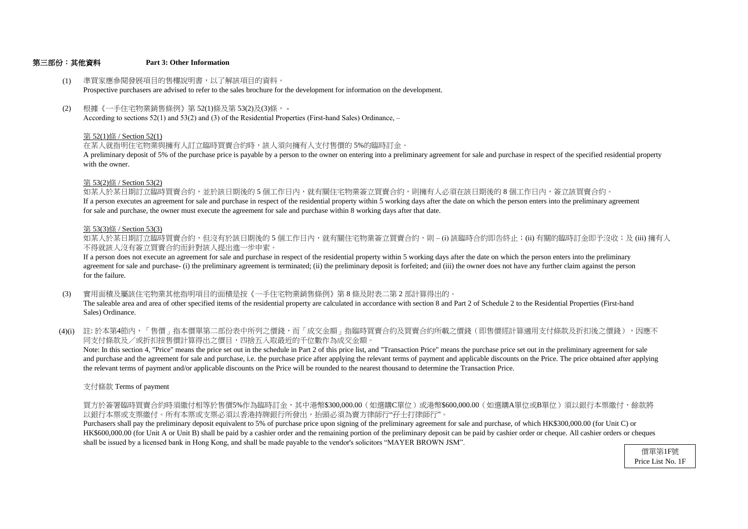### 第三部份:其他資料 **Part 3: Other Information**

for sale and purchase, the owner must execute the agreement for sale and purchase within 8 working days after that date. If a person executes an agreement for sale and purchase in respect of the residential property within 5 working days after the date on which the person enters into the preliminary agreement 如某人於某日期訂立臨時買賣合約,並於該日期後的 5 個工作日內,就有關住宅物業簽立買賣合約,則擁有人必須在該日期後的 8 個工作日内,簽立該買賣合約。

- (1) 準買家應參閱發展項目的售樓說明書,以了解該項目的資料。 Prospective purchasers are advised to refer to the sales brochure for the development for information on the development.
- (2) 根據《一手住宅物業銷售條例》第 52(1)條及第 53(2)及(3)條, - According to sections 52(1) and 53(2) and (3) of the Residential Properties (First-hand Sales) Ordinance, –

# 第 53(2)條 / Section 53(2)

with the owner. A preliminary deposit of 5% of the purchase price is payable by a person to the owner on entering into a preliminary agreement for sale and purchase in respect of the specified residential property

- (3) 實用面積及屬該住宅物業其他指明項目的面積是按《一手住宅物業銷售條例》第 8 條及附表二第 2 部計算得出的。 The saleable area and area of other specified items of the residential property are calculated in accordance with section 8 and Part 2 of Schedule 2 to the Residential Properties (First-hand Sales) Ordinance.
- (4)(i) 註:於本第4節內,「售價」指本價單第二部份表中所列之價錢,而「成交金額」指臨時買賣合約及買賣合約所載之價錢(即售價經計算適用支付條款及折扣後之價錢),因應不 同支付條款及/或折扣按售價計算得出之價目,四捨五入取最近的千位數作為成交金額。

# 第 52(1)條 / Section 52(1)

在某人就指明住宅物業與擁有人訂立臨時買賣合約時,該人須向擁有人支付售價的 5%的臨時訂金。

# 第 53(3)條 / Section 53(3)

不得就該人沒有簽立買賣合約而針對該人提出進一步申索。 如某人於某日期訂立臨時買賣合約,但沒有於該日期後的 5 個工作日内,就有關住宅物業簽立買賣合約,則 – (i) 該臨時合約即告終止;(ii) 有關的臨時訂金即予沒收;及 (iii) 擁有人

the relevant terms of payment and/or applicable discounts on the Price will be rounded to the nearest thousand to determine the Transaction Price. and purchase and the agreement for sale and purchase, i.e. the purchase price after applying the relevant terms of payment and applicable discounts on the Price. The price obtained after applying Note: In this section 4, "Price" means the price set out in the schedule in Part 2 of this price list, and "Transaction Price" means the purchase price set out in the preliminary agreement for sale

for the failure. agreement for sale and purchase- (i) the preliminary agreement is terminated; (ii) the preliminary deposit is forfeited; and (iii) the owner does not have any further claim against the person If a person does not execute an agreement for sale and purchase in respect of the residential property within 5 working days after the date on which the person enters into the preliminary

支付條款 Terms of payment

以銀行本票或支票繳付。所有本票或支票必須以香港持牌銀行所發出,抬頭必須為賣方律師行"孖士打律師行"。 買方於簽署臨時買賣合約時須繳付相等於售價5%作為臨時訂金,其中港幣\$300,000.00(如選購C單位)或港幣\$600,000.00(如選購A單位或B單位)須以銀行本票繳付,餘款將

shall be issued by a licensed bank in Hong Kong, and shall be made payable to the vendor's solicitors "MAYER BROWN JSM". HK\$600,000.00 (for Unit A or Unit B) shall be paid by a cashier order and the remaining portion of the preliminary deposit can be paid by cashier order or cheque. All cashier orders or cheques Purchasers shall pay the preliminary deposit equivalent to 5% of purchase price upon signing of the preliminary agreement for sale and purchase, of which HK\$300,000.00 (for Unit C) or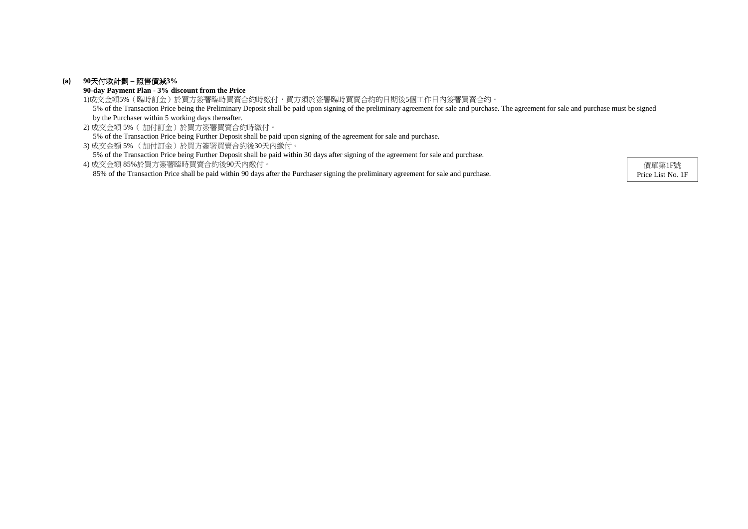# **(a) 90**天付款計劃 **–** 照售價減**3%**

**90-day Payment Plan - 3% discount from the Price**

2) 成交金額 5%( 加付訂金)於買方簽署買賣合約時繳付。 5% of the Transaction Price being Further Deposit shall be paid upon signing of the agreement for sale and purchase.

3) 成交金額 5% (加付訂金)於買方簽署買賣合約後30天內繳付。

5% of the Transaction Price being Further Deposit shall be paid within 30 days after signing of the agreement for sale and purchase.

1)成交金額5%(臨時訂金)於買方簽署臨時買賣合約時繳付,買方須於簽署臨時買賣合約的日期後5個工作日內簽署買賣合約。 5% of the Transaction Price being the Preliminary Deposit shall be paid upon signing of the preliminary agreement for sale and purchase. The agreement for sale and purchase must be signed by the Purchaser within 5 working days thereafter.

4) 成交金額 85%於買方簽署臨時買賣合約後90天內繳付。 85% of the Transaction Price shall be paid within 90 days after the Purchaser signing the preliminary agreement for sale and purchase.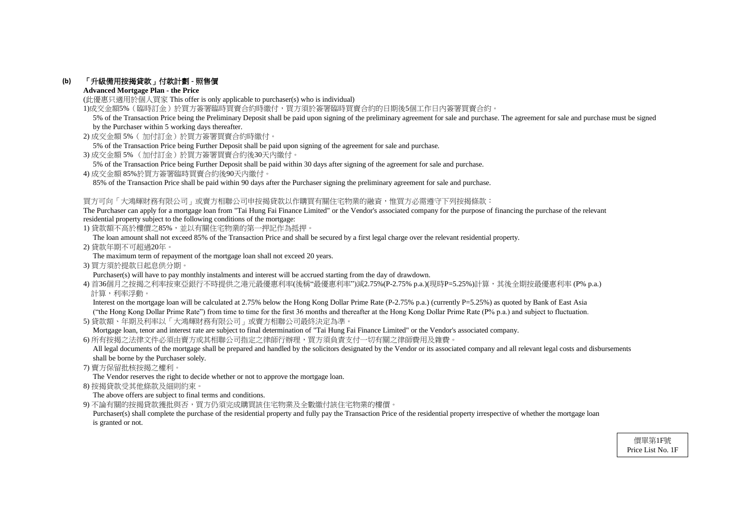# **(b)** 「升級備用按揭貸款」付款計劃 **-** 照售價

# **Advanced Mortgage Plan - the Price**

(此優惠只適用於個人買家 This offer is only applicable to purchaser(s) who is individual)

1)成交金額5%(臨時訂金)於買方簽署臨時買賣合約時繳付,買方須於簽署臨時買賣合約的日期後5個工作日內簽署買賣合約。

- 2) 成交金額 5%( 加付訂金)於買方簽署買賣合約時繳付。
- 5% of the Transaction Price being Further Deposit shall be paid upon signing of the agreement for sale and purchase.
- 3) 成交金額 5% (加付訂金)於買方簽署買賣合約後30天內繳付。
- 5% of the Transaction Price being Further Deposit shall be paid within 30 days after signing of the agreement for sale and purchase.
- 4) 成交金額 85%於買方簽署臨時買賣合約後90天內繳付。

85% of the Transaction Price shall be paid within 90 days after the Purchaser signing the preliminary agreement for sale and purchase.

# 買方可向「大鴻輝財務有限公司」或賣方相聯公司申按揭貸款以作購買有關住宅物業的融資,惟買方必需遵守下列按揭條款:

The Purchaser can apply for a mortgage loan from "Tai Hung Fai Finance Limited" or the Vendor's associated company for the purpose of financing the purchase of the relevant residential property subject to the following conditions of the mortgage:

1) 貸款額不高於樓價之85%,並以有關住宅物業的第一押記作為抵押。

Interest on the mortgage loan will be calculated at 2.75% below the Hong Kong Dollar Prime Rate (P-2.75% p.a.) (currently P=5.25%) as quoted by Bank of East Asia ("the Hong Kong Dollar Prime Rate") from time to time for the first 36 months and thereafter at the Hong Kong Dollar Prime Rate (P% p.a.) and subject to fluctuation.

The loan amount shall not exceed 85% of the Transaction Price and shall be secured by a first legal charge over the relevant residential property.

All legal documents of the mortgage shall be prepared and handled by the solicitors designated by the Vendor or its associated company and all relevant legal costs and disbursements shall be borne by the Purchaser solely.

2) 貸款年期不可超過20年。

The maximum term of repayment of the mortgage loan shall not exceed 20 years.

3) 買方須於提款日起息供分期。

Purchaser(s) will have to pay monthly instalments and interest will be accrued starting from the day of drawdown.

4) 首36個月之按揭之利率按東亞銀行不時提供之港元最優惠利率(後稱"最優惠利率")減2.75%(P-2.75% p.a.)(現時P=5.25%)計算,其後全期按最優惠利率 (P% p.a.) 計算,利率浮動。

Purchaser(s) shall complete the purchase of the residential property and fully pay the Transaction Price of the residential property irrespective of whether the mortgage loan is granted or not.

5) 貸款額、年期及利率以「大鴻輝財務有限公司」或賣方相聯公司最終決定為準。

Mortgage loan, tenor and interest rate are subject to final determination of "Tai Hung Fai Finance Limited" or the Vendor's associated company.

6) 所有按揭之法律文件必須由賣方或其相聯公司指定之律師行辦理,買方須負責支付一切有關之律師費用及雜費。

7) 賣方保留批核按揭之權利。

The Vendor reserves the right to decide whether or not to approve the mortgage loan.

8) 按揭貸款受其他條款及細則約束。

The above offers are subject to final terms and conditions.

9) 不論有關的按揭貸款獲批與否,買方仍須完成購買該住宅物業及全數繳付該住宅物業的樓價。

 5% of the Transaction Price being the Preliminary Deposit shall be paid upon signing of the preliminary agreement for sale and purchase. The agreement for sale and purchase must be signed by the Purchaser within 5 working days thereafter.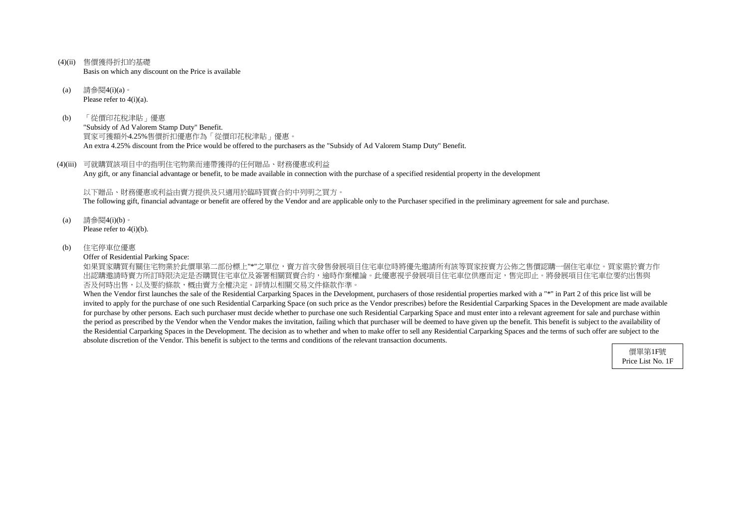- (4)(ii) 售價獲得折扣的基礎 Basis on which any discount on the Price is available
- (a) 請參閱4(i)(a)。 Please refer to  $4(i)(a)$ .
- (b) 「從價印花稅津貼」優惠 "Subsidy of Ad Valorem Stamp Duty" Benefit. 買家可獲額外4.25%售價折扣優惠作為「從價印花稅津貼」優惠。 An extra 4.25% discount from the Price would be offered to the purchasers as the "Subsidy of Ad Valorem Stamp Duty" Benefit.
- (4)(iii) 可就購買該項目中的指明住宅物業而連帶獲得的任何贈品、財務優惠或利益 Any gift, or any financial advantage or benefit, to be made available in connection with the purchase of a specified residential property in the development

如果買家購買有關住宅物業於此價單第二部份標上"\*"之單位,賣方首次發售發展項目住宅車位時將優先邀請所有該等買家按賣方公佈之售價認購一個住宅車位。買家需於賣方作 出認購邀請時賣方所訂時限決定是否購買住宅車位及簽署相關買賣合約,逾時作棄權論。此優惠視乎發展項目住宅車位供應而定,售完即止。將發展項目住宅車位要約出售與 否及何時出售,以及要約條款,概由賣方全權決定。詳情以相關交易文件條款作準。

以下贈品、財務優惠或利益由賣方提供及只適用於臨時買賣合約中列明之買方。 The following gift, financial advantage or benefit are offered by the Vendor and are applicable only to the Purchaser specified in the preliminary agreement for sale and purchase.

- (a) 請參閱4(i)(b)。 Please refer to 4(i)(b).
- (b) 住宅停車位優惠

Offer of Residential Parking Space:

When the Vendor first launches the sale of the Residential Carparking Spaces in the Development, purchasers of those residential properties marked with a "\*" in Part 2 of this price list will be invited to apply for the purchase of one such Residential Carparking Space (on such price as the Vendor prescribes) before the Residential Carparking Spaces in the Development are made available for purchase by other persons. Each such purchaser must decide whether to purchase one such Residential Carparking Space and must enter into a relevant agreement for sale and purchase within the period as prescribed by the Vendor when the Vendor makes the invitation, failing which that purchaser will be deemed to have given up the benefit. This benefit is subject to the availability of the Residential Carparking Spaces in the Development. The decision as to whether and when to make offer to sell any Residential Carparking Spaces and the terms of such offer are subject to the absolute discretion of the Vendor. This benefit is subject to the terms and conditions of the relevant transaction documents.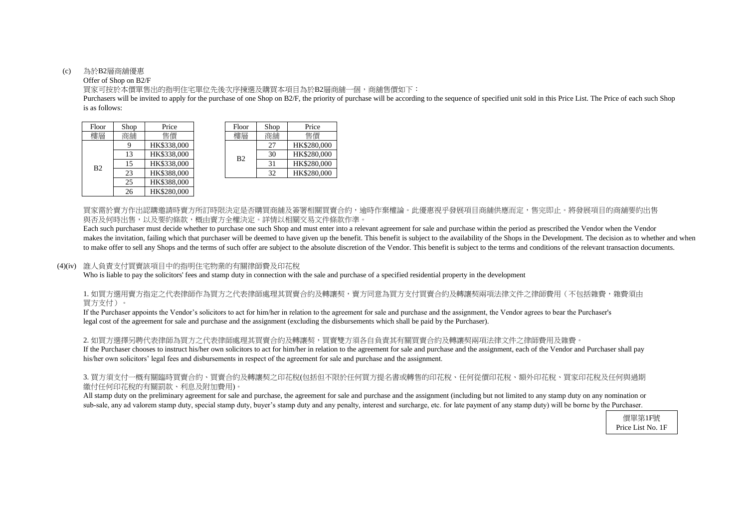#### (c) 為於B2層商舖優惠

### Offer of Shop on B2/F

is as follows: Purchasers will be invited to apply for the purchase of one Shop on B2/F, the priority of purchase will be according to the sequence of specified unit sold in this Price List. The Price of each such Shop

買家可按於本價單售出的指明住宅單位先後次序揀選及購買本項目為於B2層商舖一個,商舖售價如下:

買家需於賣方作出認購邀請時賣方所訂時限決定是否購買商舖及簽署相關買賣合約,逾時作棄權論。此優惠視乎發展項目商舖供應而定,售完即止。將發展項目的商舖要約出售 與否及何時出售,以及要約條款,概由賣方全權決定。詳情以相關交易文件條款作準。

Each such purchaser must decide whether to purchase one such Shop and must enter into a relevant agreement for sale and purchase within the period as prescribed the Vendor when the Vendor makes the invitation, failing which that purchaser will be deemed to have given up the benefit. This benefit is subject to the availability of the Shops in the Development. The decision as to whether and when to make offer to sell any Shops and the terms of such offer are subject to the absolute discretion of the Vendor. This benefit is subject to the terms and conditions of the relevant transaction documents.

## 1. 如買方選用賣方指定之代表律師作為買方之代表律師處理其買賣合約及轉讓契,賣方同意為買方支付買賣合約及轉讓契兩項法律文件之律師費用(不包括雜費,雜費須由 買方支付)。

2. 如買方選擇另聘代表律師為買方之代表律師處理其買賣合約及轉讓契,買賣雙方須各自負責其有關買賣合約及轉讓契兩項法律文件之律師費用及雜費。 If the Purchaser chooses to instruct his/her own solicitors to act for him/her in relation to the agreement for sale and purchase and the assignment, each of the Vendor and Purchaser shall pay his/her own solicitors' legal fees and disbursements in respect of the agreement for sale and purchase and the assignment.

### (4)(iv) 誰人負責支付買賣該項目中的指明住宅物業的有關律師費及印花稅

Who is liable to pay the solicitors' fees and stamp duty in connection with the sale and purchase of a specified residential property in the development

| hop | Price       | Floor          | Shop | Price       |
|-----|-------------|----------------|------|-------------|
| 銆舖  | 售價          | 樓層             | 商舖   | 售價          |
| -9  | HK\$338,000 |                | 27   | HK\$280,000 |
| 13  | HK\$338,000 | B <sub>2</sub> | 30   | HK\$280,000 |
| 15  | HK\$338,000 |                | 31   | HK\$280,000 |
| 23  | HK\$388,000 |                | 32   | HK\$280,000 |

| Floor          | Shop | Price       | Floor          | Shop | Price    |
|----------------|------|-------------|----------------|------|----------|
| 樓層             | 商舖   | 售價          | 樓層             | 商鋪   | 售價       |
|                |      | HK\$338,000 |                | 27   | HK\$280, |
|                | 13   | HK\$338,000 | B <sub>2</sub> | 30   | HK\$280, |
| B <sub>2</sub> | 15   | HK\$338,000 |                | 31   | HK\$280, |
|                | 23   | HK\$388,000 |                | 32   | HK\$280, |
|                | 25   | HK\$388,000 |                |      |          |
|                | 26   | HK\$280,000 |                |      |          |

If the Purchaser appoints the Vendor's solicitors to act for him/her in relation to the agreement for sale and purchase and the assignment, the Vendor agrees to bear the Purchaser's legal cost of the agreement for sale and purchase and the assignment (excluding the disbursements which shall be paid by the Purchaser).

# 3. 買方須支付一概有關臨時買賣合約、買賣合約及轉讓契之印花稅(包括但不限於任何買方提名書或轉售的印花稅、任何從價印花稅、額外印花稅、買家印花稅及任何與過期 繳付任何印花稅的有關罰款、利息及附加費用)。

All stamp duty on the preliminary agreement for sale and purchase, the agreement for sale and purchase and the assignment (including but not limited to any stamp duty on any nomination or sub-sale, any ad valorem stamp duty, special stamp duty, buyer's stamp duty and any penalty, interest and surcharge, etc. for late payment of any stamp duty) will be borne by the Purchaser.